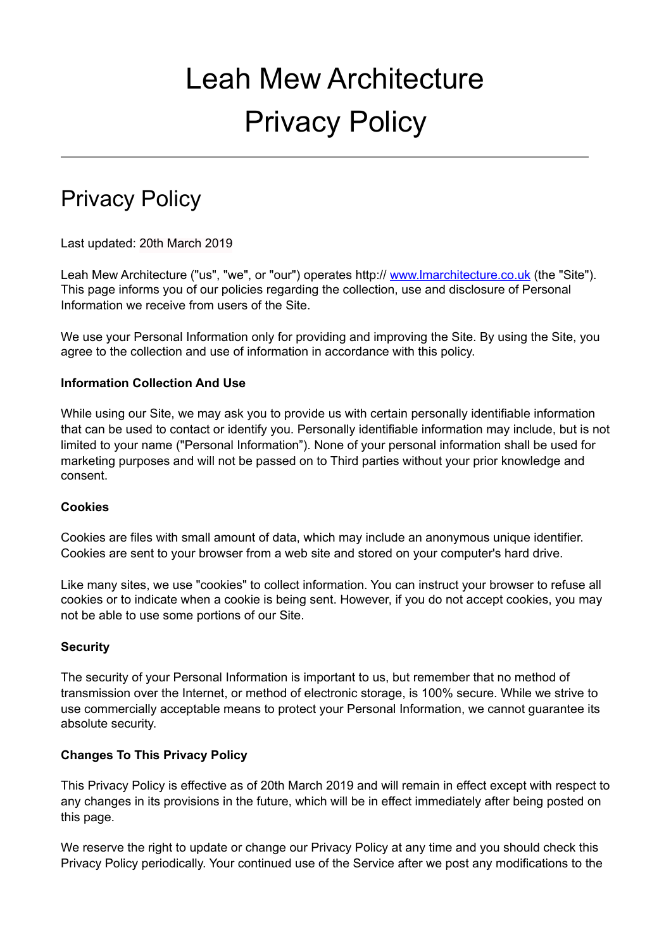# Leah Mew Architecture Privacy Policy

# Privacy Policy

Last updated: 20th March 2019

Leah Mew Architecture ("us", "we", or "our") operates http:// www.Imarchitecture.co.uk (the "Site"). This page informs you of our policies regarding the collection, use and disclosure of Personal Information we receive from users of the Site.

We use your Personal Information only for providing and improving the Site. By using the Site, you agree to the collection and use of information in accordance with this policy.

### **Information Collection And Use**

While using our Site, we may ask you to provide us with certain personally identifiable information that can be used to contact or identify you. Personally identifiable information may include, but is not limited to your name ("Personal Information"). None of your personal information shall be used for marketing purposes and will not be passed on to Third parties without your prior knowledge and consent.

#### **Cookies**

Cookies are files with small amount of data, which may include an anonymous unique identifier. Cookies are sent to your browser from a web site and stored on your computer's hard drive.

Like many sites, we use "cookies" to collect information. You can instruct your browser to refuse all cookies or to indicate when a cookie is being sent. However, if you do not accept cookies, you may not be able to use some portions of our Site.

#### **Security**

The security of your Personal Information is important to us, but remember that no method of transmission over the Internet, or method of electronic storage, is 100% secure. While we strive to use commercially acceptable means to protect your Personal Information, we cannot guarantee its absolute security.

# **Changes To This Privacy Policy**

This Privacy Policy is effective as of 20th March 2019 and will remain in effect except with respect to any changes in its provisions in the future, which will be in effect immediately after being posted on this page.

We reserve the right to update or change our Privacy Policy at any time and you should check this Privacy Policy periodically. Your continued use of the Service after we post any modifications to the